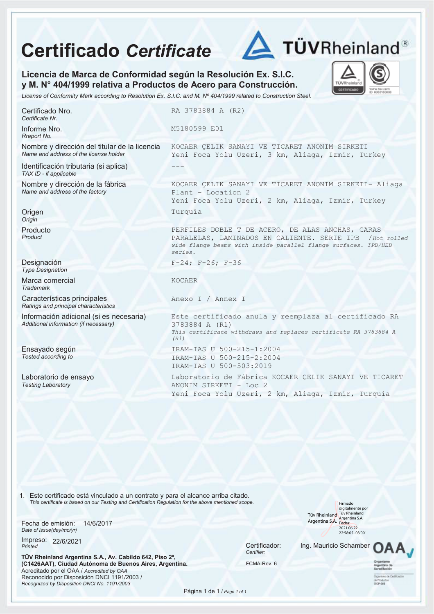## **Certificado** *Certificate*



TÜVRhei **CERTIFICAL** 

**Licencia de Marca de Conformidad según la Resolución Ex. S.I.C. y M. N° 404/1999 relativa a Productos de Acero para Construcción.** 

*License of Conformity Mark according to Resolution Ex. S.I.C. and M. Nº 404/1999 related to Construction Steel.*

Certificado Nro. *Certificate Nr.*

Informe Nro. *Rreport No.*

Nombre y dirección del titular de la licencia *Name and address of the license holder* 

Identificación tributaria (si aplica) *TAX ID - if applicable*

Nombre y dirección de la fábrica *Name and address of the factory*

**Origen** *Origin*

Producto *Product*

Designación *Type Designation*

Marca comercial *Trademark*

Características principales *Ratings and principal characteristics*

Información adicional (si es necesaria) *Additional information (if necessary)*

Ensayado según *Tested according to*

Laboratorio de ensayo *Testing Laboratory*

RA 3783884 A (R2)

M5180599 E01

KOCAER ÇELIK SANAYI VE TICARET ANONIM SIRKETI Yeni Foca Yolu Uzeri, 3 km, Aliaga, Izmir, Turkey ---

KOCAER ÇELIK SANAYI VE TICARET ANONIM SIRKETI- Aliaga Plant - Location 2 Yeni Foca Yolu Uzeri, 2 km, Aliaga, Izmir, Turkey Turquía

PERFILES DOBLE T DE ACERO, DE ALAS ANCHAS, CARAS PARALELAS, LAMINADOS EN CALIENTE. SERIE IPB /*Hot rolled wide flange beams with inside parallel flange surfaces. IPB/HEB series.*

F-24; F-26; F-36

KOCAER

Anexo I / Annex I

Este certificado anula y reemplaza al certificado RA 3783884 A (R1) *This certificate withdraws and replaces certificate RA 3783884 A (R1)* IRAM-IAS U 500-215-1:2004 IRAM-IAS U 500-215-2:2004 IRAM-IAS U 500-503:2019

Laboratorio de Fábrica KOCAER ÇELIK SANAYI VE TICARET ANONIM SIRKETI - Loc 2 Yeni Foca Yolu Uzeri, 2 km, Aliaga, Izmir, Turquía

1. Este certificado está vinculado a un contrato y para el alcance arriba citado. *This certificate is based on our Testing and Certification Regulation for the above mentioned scope.*

Fecha de emisión: *Date of issue(day/mo/yr)* 14/6/2017

Impreso: 22/6/2021 *Printed* 22/6/2021 Certificador:

**TÜV Rheinland Argentina S.A., Av. Cabildo 642, Piso 2º, (C1426AAT), Ciudad Autónoma de Buenos Aires, Argentina.**  Acreditado por el OAA / *Accredited by OAA* Reconocido por Disposición DNCI 1191/2003 / *Recognized by Disposition DNCI No. 1191/2003*

*Certifier:*

FCMA-Rev. 6

Tüv Rheinland Tüv Rheinland Argentina S.A. Argentina S.A. Firmado digitalmente por 2021.06.22 22:58:05 -03'00'

Ing. Mauricio Schamber



Página 1 de 1 / *Page 1 of 1*